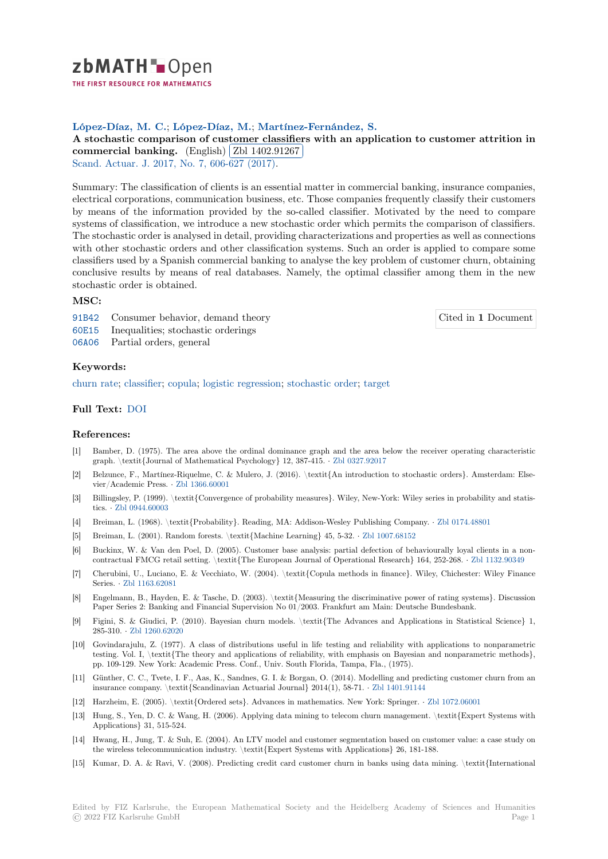zbMATH-Open

THE FIRST RESOURCE FOR MATHEMATICS

# **López-Díaz, M. C.**; **López-Díaz, M.**; **Martínez-Fernández, S.**

### [A](https://zbmath.org/) stochastic comparison of customer classifiers with an application to customer attrition in A stochastic comparison of customer classification commercial banking. (English) **Zbl** 1402.91267 ✁

Scand. Actuar. J. 2017, No. 7, 606-627 (2017).

[Summary: The classification of clients is an essential matter in commercial banking, insurance companies,](https://zbmath.org/1402.91267) [electrical corporations, c](https://zbmath.org/1402.91267)ommunicat[ion business, etc.](https://zbmath.org/1402.91267) Those companies frequently classify their customers [by means of the](https://zbmath.org/journals/?q=se:2765) [information provided by th](https://zbmath.org/?q=in:372862)e so-called classifier. Motivated by the need to compare systems of classification, we introduce a new stochastic order which permits the comparison of classifiers. The stochastic order is analysed in detail, providing characterizations and properties as well as connections with other stochastic orders and other classification systems. Such an order is applied to compare some classifiers used by a Spanish commercial banking to analyse the key problem of customer churn, obtaining conclusive results by means of real databases. Namely, the optimal classifier among them in the new stochastic order is obtained.

# **MSC:**

91B42 Consumer behavior, demand theory

Cited in **1** Document

- 60E15 Inequalities; stochastic orderings
- 06A06 Partial orders, general

# **[Keyw](https://zbmath.org/classification/?q=cc:91B42)ords:**

[churn](https://zbmath.org/classification/?q=cc:60E15) rate; classifier; copula; logistic regression; stochastic order; target

## **Full Text:** DOI

## **[Reference](https://zbmath.org/?q=ut:churn+rate)[s:](https://zbmath.org/?q=ut:classifier)**

- [1] Bamber, D. (1975). The area above the ordinal dominance graph and the area below the receiver operating characteristic graph. \t[extit{J](https://dx.doi.org/10.1080/03461238.2016.1209549)ournal of Mathematical Psychology} 12, 387-415. *·* Zbl 0327.92017
- [2] Belzunce, F., Martínez-Riquelme, C. & Mulero, J. (2016). \textit{An introduction to stochastic orders}. Amsterdam: Elsevier/Academic Press. *·* Zbl 1366.60001
- [3] Billingsley, P. (1999). \textit{Convergence of probability measures}. Wiley, New-York: Wiley series in probability and statistics. *·* Zbl 0944.60003
- [4] Breiman, L. (1968). \textit{Probability}. Reading, MA: Addison-Wesley Publishing Company. *·* Zbl 0174.48801
- [5] Breiman, L. (2001). Ra[ndom forests. \](https://zbmath.org/1366.60001)textit{Machine Learning} 45, 5-32. *·* Zbl 1007.68152
- [6] Buckinx, W. & Van den Poel, D. (2005). Customer base analysis: partial defection of behaviourally loyal clients in a noncontra[ctual FMCG re](https://zbmath.org/0944.60003)tail setting. \textit{The European Journal of Operational Research} 164, 252-268. *·* Zbl 1132.90349
- [7] Cherubini, U., Luciano, E. & Vecchiato, W. (2004). \textit{Copula methods in finance}. Wiley[, Chichester: W](https://zbmath.org/0174.48801)iley Finance Series. *·* Zbl 1163.62081
- [8] Engelmann, B., Hayden, E. & Tasche, D. (2003). \textit{Measuring the discriminative power of rating systems}. Discussion Paper Series 2: Banking and Financial Supervision No 01/2003. Frankfurt am Main: Deutsche Bundesban[k.](https://zbmath.org/1132.90349)
- [9] Figini, S. & Giudici, P. (2010). Bayesian churn models. \textit{The Advances and Applications in Statistical Science} 1, 285-310. *·* [Zbl 1260.6202](https://zbmath.org/1163.62081)0
- [10] Govindarajulu, Z. (1977). A class of distributions useful in life testing and reliability with applications to nonparametric testing. Vol. I, \textit{The theory and applications of reliability, with emphasis on Bayesian and nonparametric methods}, pp. 109-129. New York: Academic Press. Conf., Univ. South Florida, Tampa, Fla., (1975).
- [11] Günther, [C. C., Tvete, I.](https://zbmath.org/1260.62020) F., Aas, K., Sandnes, G. I. & Borgan, O. (2014). Modelling and predicting customer churn from an insurance company. \textit{Scandinavian Actuarial Journal} 2014(1), 58-71. *·* Zbl 1401.91144
- [12] Harzheim, E. (2005). \textit{Ordered sets}. Advances in mathematics. New York: Springer. *·* Zbl 1072.06001
- [13] Hung, S., Yen, D. C. & Wang, H. (2006). Applying data mining to telecom churn management. \textit{Expert Systems with Applications} 31, 515-524.
- [14] Hwang, H., Jung, T. & Suh, E. (2004). An LTV model and customer segmenta[tion based on c](https://zbmath.org/1401.91144)ustomer value: a case study on the wireless telecommunication industry. \textit{Expert Systems with Applications} 26, 181-[188.](https://zbmath.org/1072.06001)
- [15] Kumar, D. A. & Ravi, V. (2008). Predicting credit card customer churn in banks using data mining. \textit{International